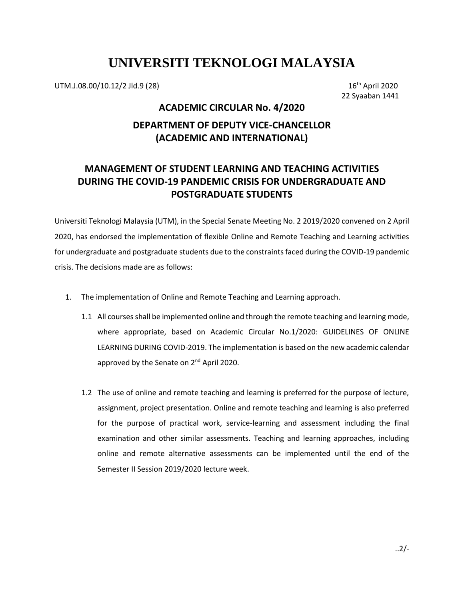# **UNIVERSITI TEKNOLOGI MALAYSIA**

UTM.J.08.00/10.12/2 Jld.9 (28)

 $16<sup>th</sup>$  April 2020 22 Syaaban 1441

## **ACADEMIC CIRCULAR No. 4/2020 DEPARTMENT OF DEPUTY VICE-CHANCELLOR (ACADEMIC AND INTERNATIONAL)**

### **MANAGEMENT OF STUDENT LEARNING AND TEACHING ACTIVITIES DURING THE COVID-19 PANDEMIC CRISIS FOR UNDERGRADUATE AND POSTGRADUATE STUDENTS**

Universiti Teknologi Malaysia (UTM), in the Special Senate Meeting No. 2 2019/2020 convened on 2 April 2020, has endorsed the implementation of flexible Online and Remote Teaching and Learning activities for undergraduate and postgraduate students due to the constraints faced during the COVID-19 pandemic crisis. The decisions made are as follows:

- 1. The implementation of Online and Remote Teaching and Learning approach.
	- 1.1 All courses shall be implemented online and through the remote teaching and learning mode, where appropriate, based on Academic Circular No.1/2020: GUIDELINES OF ONLINE LEARNING DURING COVID-2019. The implementation is based on the new academic calendar approved by the Senate on 2<sup>nd</sup> April 2020.
	- 1.2 The use of online and remote teaching and learning is preferred for the purpose of lecture, assignment, project presentation. Online and remote teaching and learning is also preferred for the purpose of practical work, service-learning and assessment including the final examination and other similar assessments. Teaching and learning approaches, including online and remote alternative assessments can be implemented until the end of the Semester II Session 2019/2020 lecture week.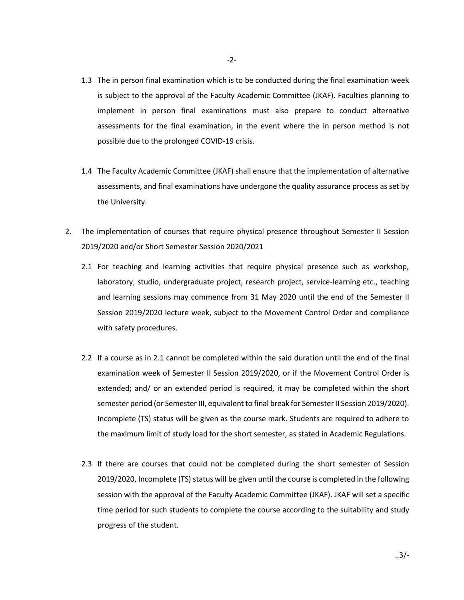- 1.3 The in person final examination which is to be conducted during the final examination week is subject to the approval of the Faculty Academic Committee (JKAF). Faculties planning to implement in person final examinations must also prepare to conduct alternative assessments for the final examination, in the event where the in person method is not possible due to the prolonged COVID-19 crisis.
- 1.4 The Faculty Academic Committee (JKAF) shall ensure that the implementation of alternative assessments, and final examinations have undergone the quality assurance process as set by the University.
- 2. The implementation of courses that require physical presence throughout Semester II Session 2019/2020 and/or Short Semester Session 2020/2021
	- 2.1 For teaching and learning activities that require physical presence such as workshop, laboratory, studio, undergraduate project, research project, service-learning etc., teaching and learning sessions may commence from 31 May 2020 until the end of the Semester II Session 2019/2020 lecture week, subject to the Movement Control Order and compliance with safety procedures.
	- 2.2 If a course as in 2.1 cannot be completed within the said duration until the end of the final examination week of Semester II Session 2019/2020, or if the Movement Control Order is extended; and/ or an extended period is required, it may be completed within the short semester period (or Semester III, equivalent to final break for Semester II Session 2019/2020). Incomplete (TS) status will be given as the course mark. Students are required to adhere to the maximum limit of study load for the short semester, as stated in Academic Regulations.
	- 2.3 If there are courses that could not be completed during the short semester of Session 2019/2020, Incomplete (TS) status will be given until the course is completed in the following session with the approval of the Faculty Academic Committee (JKAF). JKAF will set a specific time period for such students to complete the course according to the suitability and study progress of the student.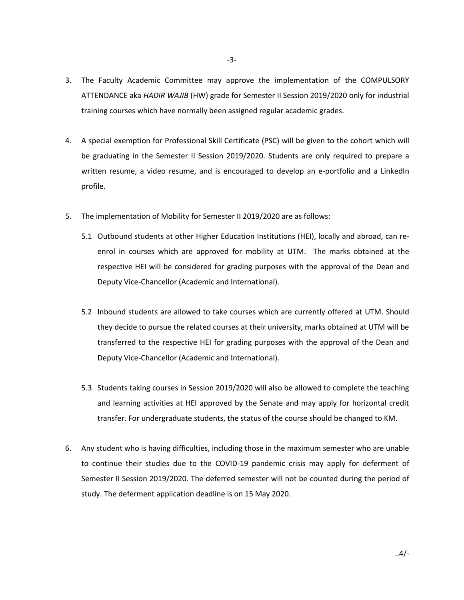- 3. The Faculty Academic Committee may approve the implementation of the COMPULSORY ATTENDANCE aka *HADIR WAJIB* (HW) grade for Semester II Session 2019/2020 only for industrial training courses which have normally been assigned regular academic grades.
- 4. A special exemption for Professional Skill Certificate (PSC) will be given to the cohort which will be graduating in the Semester II Session 2019/2020. Students are only required to prepare a written resume, a video resume, and is encouraged to develop an e-portfolio and a LinkedIn profile.
- 5. The implementation of Mobility for Semester II 2019/2020 are as follows:
	- 5.1 Outbound students at other Higher Education Institutions (HEI), locally and abroad, can reenrol in courses which are approved for mobility at UTM. The marks obtained at the respective HEI will be considered for grading purposes with the approval of the Dean and Deputy Vice-Chancellor (Academic and International).
	- 5.2 Inbound students are allowed to take courses which are currently offered at UTM. Should they decide to pursue the related courses at their university, marks obtained at UTM will be transferred to the respective HEI for grading purposes with the approval of the Dean and Deputy Vice-Chancellor (Academic and International).
	- 5.3 Students taking courses in Session 2019/2020 will also be allowed to complete the teaching and learning activities at HEI approved by the Senate and may apply for horizontal credit transfer. For undergraduate students, the status of the course should be changed to KM.
- 6. Any student who is having difficulties, including those in the maximum semester who are unable to continue their studies due to the COVID-19 pandemic crisis may apply for deferment of Semester II Session 2019/2020. The deferred semester will not be counted during the period of study. The deferment application deadline is on 15 May 2020.